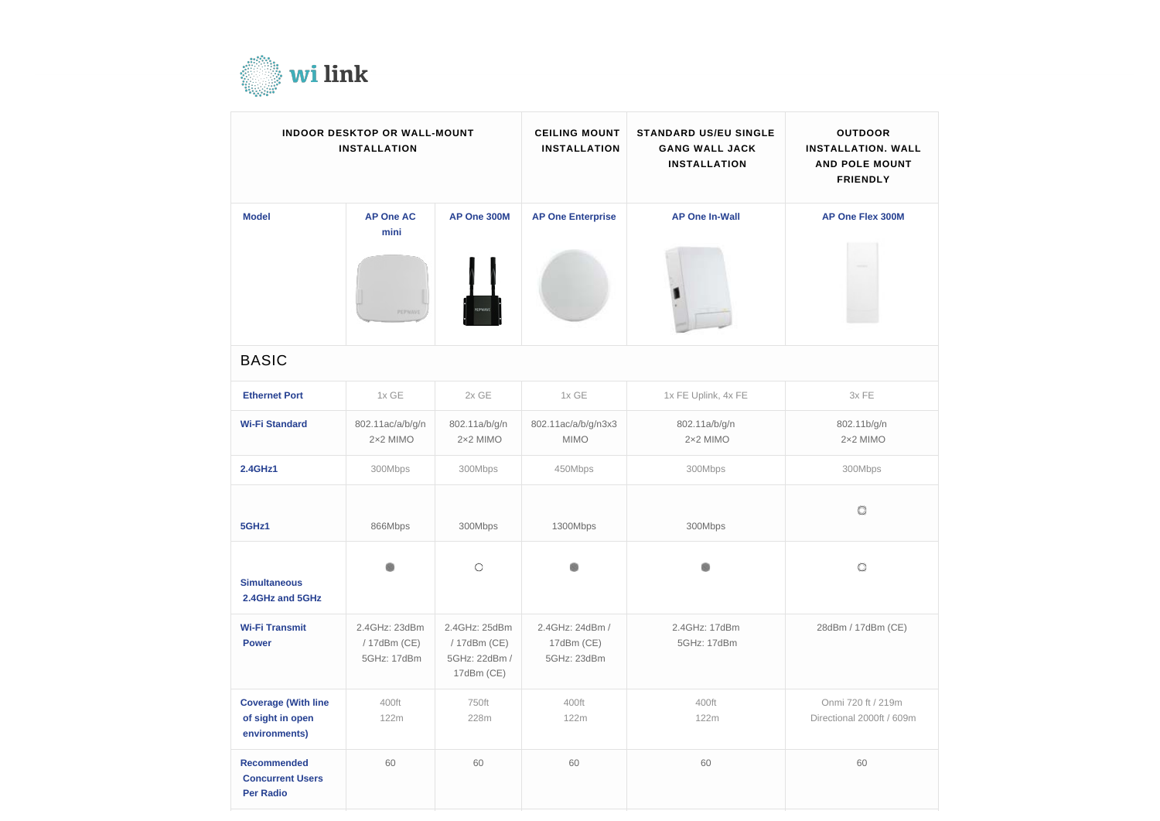

| <b>INDOOR DESKTOP OR WALL-MOUNT</b><br><b>INSTALLATION</b>        |                                              |                                                              | <b>CEILING MOUNT</b><br><b>INSTALLATION</b>  | <b>STANDARD US/EU SINGLE</b><br><b>GANG WALL JACK</b><br><b>INSTALLATION</b> | <b>OUTDOOR</b><br><b>INSTALLATION. WALL</b><br><b>AND POLE MOUNT</b><br><b>FRIENDLY</b> |
|-------------------------------------------------------------------|----------------------------------------------|--------------------------------------------------------------|----------------------------------------------|------------------------------------------------------------------------------|-----------------------------------------------------------------------------------------|
| <b>Model</b>                                                      | <b>AP One AC</b><br>mini<br>PEPWAVE          | AP One 300M                                                  | <b>AP One Enterprise</b>                     | <b>AP One In-Wall</b>                                                        | <b>AP One Flex 300M</b>                                                                 |
| <b>BASIC</b>                                                      |                                              |                                                              |                                              |                                                                              |                                                                                         |
| <b>Ethernet Port</b>                                              | 1x GE                                        | $2x$ GE                                                      | 1x GE                                        | 1x FE Uplink, 4x FE                                                          | 3x FE                                                                                   |
| <b>Wi-Fi Standard</b>                                             | 802.11ac/a/b/g/n<br>2×2 MIMO                 | 802.11a/b/g/n<br>2×2 MIMO                                    | 802.11ac/a/b/g/n3x3<br><b>MIMO</b>           | 802.11a/b/g/n<br>2×2 MIMO                                                    | 802.11b/g/n<br>2×2 MIMO                                                                 |
| <b>2.4GHz1</b>                                                    | 300Mbps                                      | 300Mbps                                                      | 450Mbps                                      | 300Mbps                                                                      | 300Mbps                                                                                 |
| 5GHz1                                                             | 866Mbps                                      | 300Mbps                                                      | 1300Mbps                                     | 300Mbps                                                                      | O                                                                                       |
| <b>Simultaneous</b><br>2.4GHz and 5GHz                            |                                              | $\circ$                                                      |                                              |                                                                              | O                                                                                       |
| <b>Wi-Fi Transmit</b><br><b>Power</b>                             | 2.4GHz: 23dBm<br>/ 17dBm (CE)<br>5GHz: 17dBm | 2.4GHz: 25dBm<br>/ 17dBm (CE)<br>5GHz: 22dBm /<br>17dBm (CE) | 2.4GHz: 24dBm /<br>17dBm (CE)<br>5GHz: 23dBm | 2.4GHz: 17dBm<br>5GHz: 17dBm                                                 | 28dBm / 17dBm (CE)                                                                      |
| <b>Coverage (With line</b><br>of sight in open<br>environments)   | 400ft<br>122m                                | 750ft<br>228m                                                | 400ft<br>122m                                | 400ft<br>122m                                                                | Onmi 720 ft / 219m<br>Directional 2000ft / 609m                                         |
| <b>Recommended</b><br><b>Concurrent Users</b><br><b>Per Radio</b> | 60                                           | 60                                                           | 60                                           | 60                                                                           | 60                                                                                      |

| OR<br>N. WALL<br><b>MOUNT</b><br>LY |  |  |  |  |  |
|-------------------------------------|--|--|--|--|--|
| $\epsilon$ 300M                     |  |  |  |  |  |
|                                     |  |  |  |  |  |
|                                     |  |  |  |  |  |
|                                     |  |  |  |  |  |
| g/n<br>10                           |  |  |  |  |  |
| ΙS                                  |  |  |  |  |  |
|                                     |  |  |  |  |  |
|                                     |  |  |  |  |  |
| m (CE)                              |  |  |  |  |  |
| 219m<br>0ft / 609m                  |  |  |  |  |  |
|                                     |  |  |  |  |  |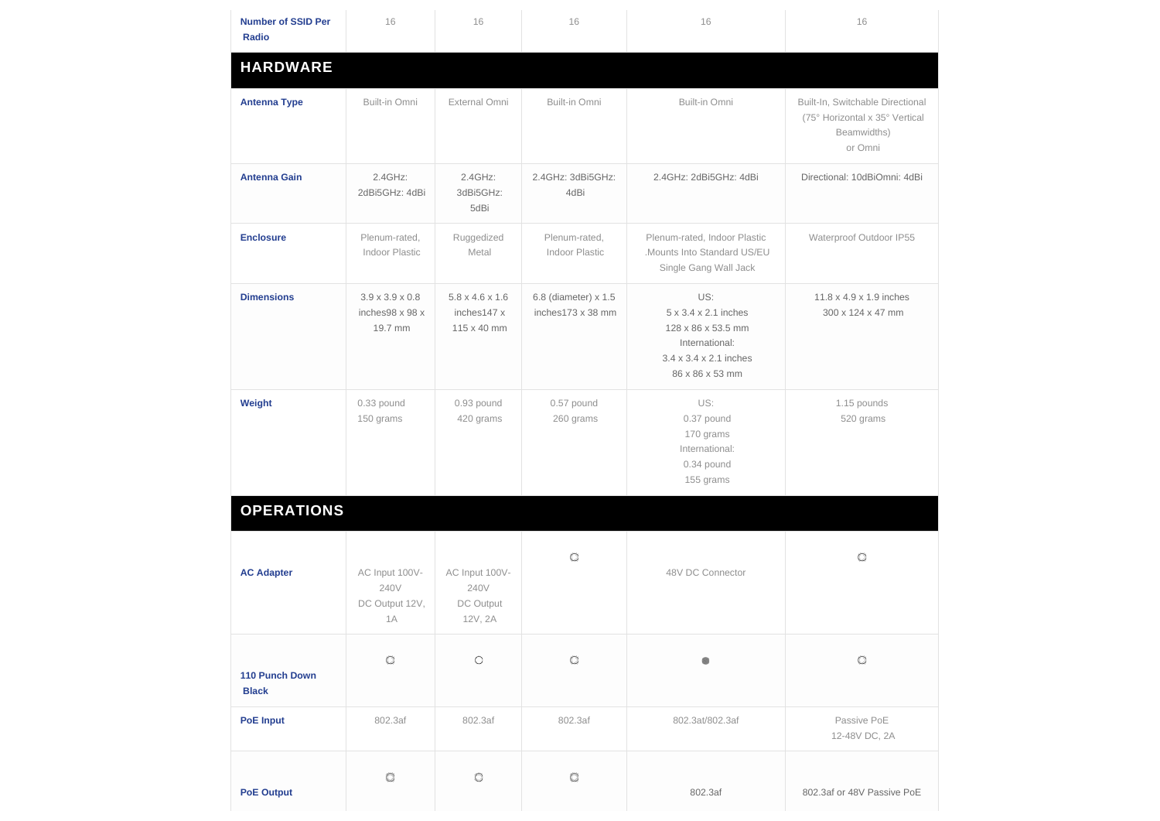| <b>Number of SSID Per</b><br><b>Radio</b> | 16                                                        | 16                                                        | 16                                        | 16                                                                                                                                       | 16                                                                                           |
|-------------------------------------------|-----------------------------------------------------------|-----------------------------------------------------------|-------------------------------------------|------------------------------------------------------------------------------------------------------------------------------------------|----------------------------------------------------------------------------------------------|
| <b>HARDWARE</b>                           |                                                           |                                                           |                                           |                                                                                                                                          |                                                                                              |
| <b>Antenna Type</b>                       | Built-in Omni                                             | External Omni                                             | Built-in Omni                             | Built-in Omni                                                                                                                            | Built-In, Switchable Directional<br>(75° Horizontal x 35° Vertical<br>Beamwidths)<br>or Omni |
| <b>Antenna Gain</b>                       | 2.4GHz:<br>2dBi5GHz: 4dBi                                 | 2.4GHz:<br>3dBi5GHz:<br>5dBi                              | 2.4GHz: 3dBi5GHz:<br>4dBi                 | 2.4GHz: 2dBi5GHz: 4dBi                                                                                                                   | Directional: 10dBiOmni: 4dBi                                                                 |
| <b>Enclosure</b>                          | Plenum-rated,<br>Indoor Plastic                           | Ruggedized<br>Metal                                       | Plenum-rated,<br>Indoor Plastic           | Plenum-rated, Indoor Plastic<br>.Mounts Into Standard US/EU<br>Single Gang Wall Jack                                                     | Waterproof Outdoor IP55                                                                      |
| <b>Dimensions</b>                         | $3.9 \times 3.9 \times 0.8$<br>inches98 x 98 x<br>19.7 mm | $5.8 \times 4.6 \times 1.6$<br>inches147 x<br>115 x 40 mm | 6.8 (diameter) x 1.5<br>inches173 x 38 mm | US:<br>$5 \times 3.4 \times 2.1$ inches<br>128 x 86 x 53.5 mm<br>International:<br>$3.4 \times 3.4 \times 2.1$ inches<br>86 x 86 x 53 mm | 11.8 x 4.9 x 1.9 inches<br>300 x 124 x 47 mm                                                 |
| Weight                                    | 0.33 pound<br>150 grams                                   | 0.93 pound<br>420 grams                                   | 0.57 pound<br>260 grams                   | US:<br>0.37 pound<br>170 grams<br>International:<br>0.34 pound<br>155 grams                                                              | 1.15 pounds<br>520 grams                                                                     |
| <b>OPERATIONS</b>                         |                                                           |                                                           |                                           |                                                                                                                                          |                                                                                              |
| <b>AC Adapter</b>                         | AC Input 100V-<br>240V<br>DC Output 12V,<br>1A            | AC Input 100V-<br>240V<br>DC Output<br>12V, 2A            | O                                         | 48V DC Connector                                                                                                                         | O                                                                                            |
| 110 Punch Down<br><b>Black</b>            | O                                                         | $\circ$                                                   | O                                         | ۰                                                                                                                                        | O                                                                                            |
| <b>PoE Input</b>                          | 802.3af                                                   | 802.3af                                                   | 802.3af                                   | 802.3at/802.3af                                                                                                                          | Passive PoE<br>12-48V DC, 2A                                                                 |
| <b>PoE Output</b>                         | O                                                         | $\circ$                                                   | O                                         | 802.3af                                                                                                                                  | 802.3af or 48V Passive PoE                                                                   |